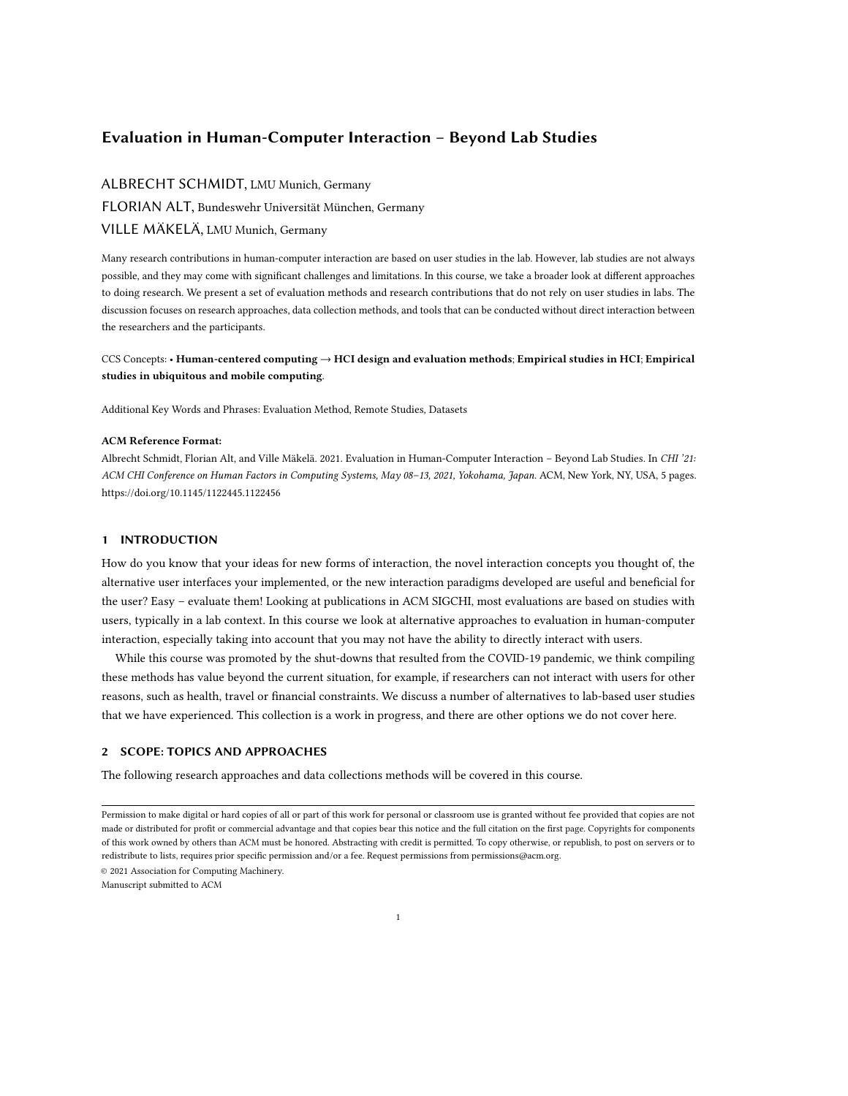# Evaluation in Human-Computer Interaction – Beyond Lab Studies

# ALBRECHT SCHMIDT, LMU Munich, Germany FLORIAN ALT, Bundeswehr Universität München, Germany VILLE MÄKELÄ, LMU Munich, Germany

Many research contributions in human-computer interaction are based on user studies in the lab. However, lab studies are not always possible, and they may come with significant challenges and limitations. In this course, we take a broader look at different approaches to doing research. We present a set of evaluation methods and research contributions that do not rely on user studies in labs. The discussion focuses on research approaches, data collection methods, and tools that can be conducted without direct interaction between the researchers and the participants.

# CCS Concepts: • Human-centered computing → HCI design and evaluation methods; Empirical studies in HCI; Empirical studies in ubiquitous and mobile computing.

Additional Key Words and Phrases: Evaluation Method, Remote Studies, Datasets

#### ACM Reference Format:

Albrecht Schmidt, Florian Alt, and Ville Mäkelä. 2021. Evaluation in Human-Computer Interaction – Beyond Lab Studies. In CHI '21: ACM CHI Conference on Human Factors in Computing Systems, May 08–13, 2021, Yokohama, Japan. ACM, New York, NY, USA, [5](#page-4-0) pages. <https://doi.org/10.1145/1122445.1122456>

### 1 INTRODUCTION

How do you know that your ideas for new forms of interaction, the novel interaction concepts you thought of, the alternative user interfaces your implemented, or the new interaction paradigms developed are useful and beneficial for the user? Easy – evaluate them! Looking at publications in ACM SIGCHI, most evaluations are based on studies with users, typically in a lab context. In this course we look at alternative approaches to evaluation in human-computer interaction, especially taking into account that you may not have the ability to directly interact with users.

While this course was promoted by the shut-downs that resulted from the COVID-19 pandemic, we think compiling these methods has value beyond the current situation, for example, if researchers can not interact with users for other reasons, such as health, travel or financial constraints. We discuss a number of alternatives to lab-based user studies that we have experienced. This collection is a work in progress, and there are other options we do not cover here.

# 2 SCOPE: TOPICS AND APPROACHES

The following research approaches and data collections methods will be covered in this course.

© 2021 Association for Computing Machinery.

Manuscript submitted to ACM

Permission to make digital or hard copies of all or part of this work for personal or classroom use is granted without fee provided that copies are not made or distributed for profit or commercial advantage and that copies bear this notice and the full citation on the first page. Copyrights for components of this work owned by others than ACM must be honored. Abstracting with credit is permitted. To copy otherwise, or republish, to post on servers or to redistribute to lists, requires prior specific permission and/or a fee. Request permissions from permissions@acm.org.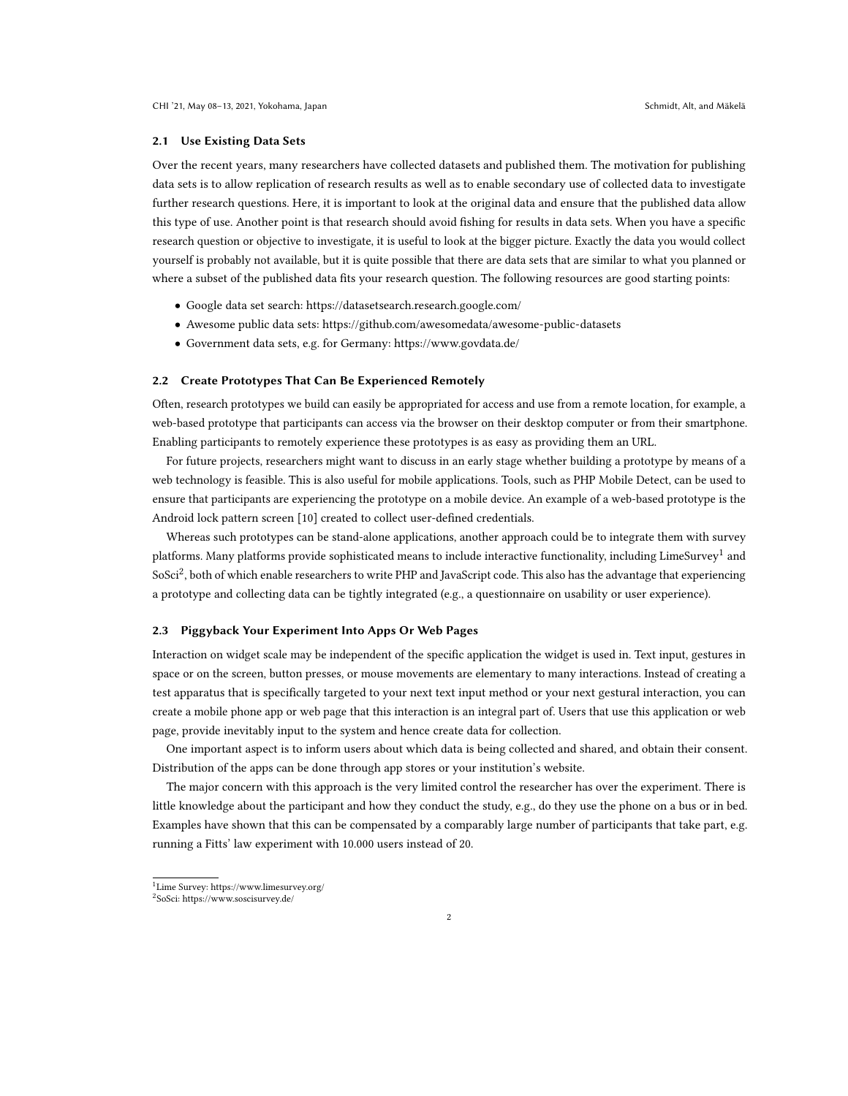#### 2.1 Use Existing Data Sets

Over the recent years, many researchers have collected datasets and published them. The motivation for publishing data sets is to allow replication of research results as well as to enable secondary use of collected data to investigate further research questions. Here, it is important to look at the original data and ensure that the published data allow this type of use. Another point is that research should avoid fishing for results in data sets. When you have a specific research question or objective to investigate, it is useful to look at the bigger picture. Exactly the data you would collect yourself is probably not available, but it is quite possible that there are data sets that are similar to what you planned or where a subset of the published data fits your research question. The following resources are good starting points:

- Google data set search:<https://datasetsearch.research.google.com/>
- Awesome public data sets:<https://github.com/awesomedata/awesome-public-datasets>
- Government data sets, e.g. for Germany:<https://www.govdata.de/>

### 2.2 Create Prototypes That Can Be Experienced Remotely

Often, research prototypes we build can easily be appropriated for access and use from a remote location, for example, a web-based prototype that participants can access via the browser on their desktop computer or from their smartphone. Enabling participants to remotely experience these prototypes is as easy as providing them an URL.

For future projects, researchers might want to discuss in an early stage whether building a prototype by means of a web technology is feasible. This is also useful for mobile applications. Tools, such as PHP Mobile Detect, can be used to ensure that participants are experiencing the prototype on a mobile device. An example of a web-based prototype is the Android lock pattern screen [\[10\]](#page-4-1) created to collect user-defined credentials.

Whereas such prototypes can be stand-alone applications, another approach could be to integrate them with survey platforms. Many platforms provide sophisticated means to include interactive functionality, including LimeSurvey $^1$  $^1$  and SoSci[2](#page-1-1) , both of which enable researchers to write PHP and JavaScript code. This also has the advantage that experiencing a prototype and collecting data can be tightly integrated (e.g., a questionnaire on usability or user experience).

#### 2.3 Piggyback Your Experiment Into Apps Or Web Pages

Interaction on widget scale may be independent of the specific application the widget is used in. Text input, gestures in space or on the screen, button presses, or mouse movements are elementary to many interactions. Instead of creating a test apparatus that is specifically targeted to your next text input method or your next gestural interaction, you can create a mobile phone app or web page that this interaction is an integral part of. Users that use this application or web page, provide inevitably input to the system and hence create data for collection.

One important aspect is to inform users about which data is being collected and shared, and obtain their consent. Distribution of the apps can be done through app stores or your institution's website.

The major concern with this approach is the very limited control the researcher has over the experiment. There is little knowledge about the participant and how they conduct the study, e.g., do they use the phone on a bus or in bed. Examples have shown that this can be compensated by a comparably large number of participants that take part, e.g. running a Fitts' law experiment with 10.000 users instead of 20.

<span id="page-1-0"></span><sup>1</sup>Lime Survey:<https://www.limesurvey.org/>

<span id="page-1-1"></span><sup>2</sup> SoSci:<https://www.soscisurvey.de/>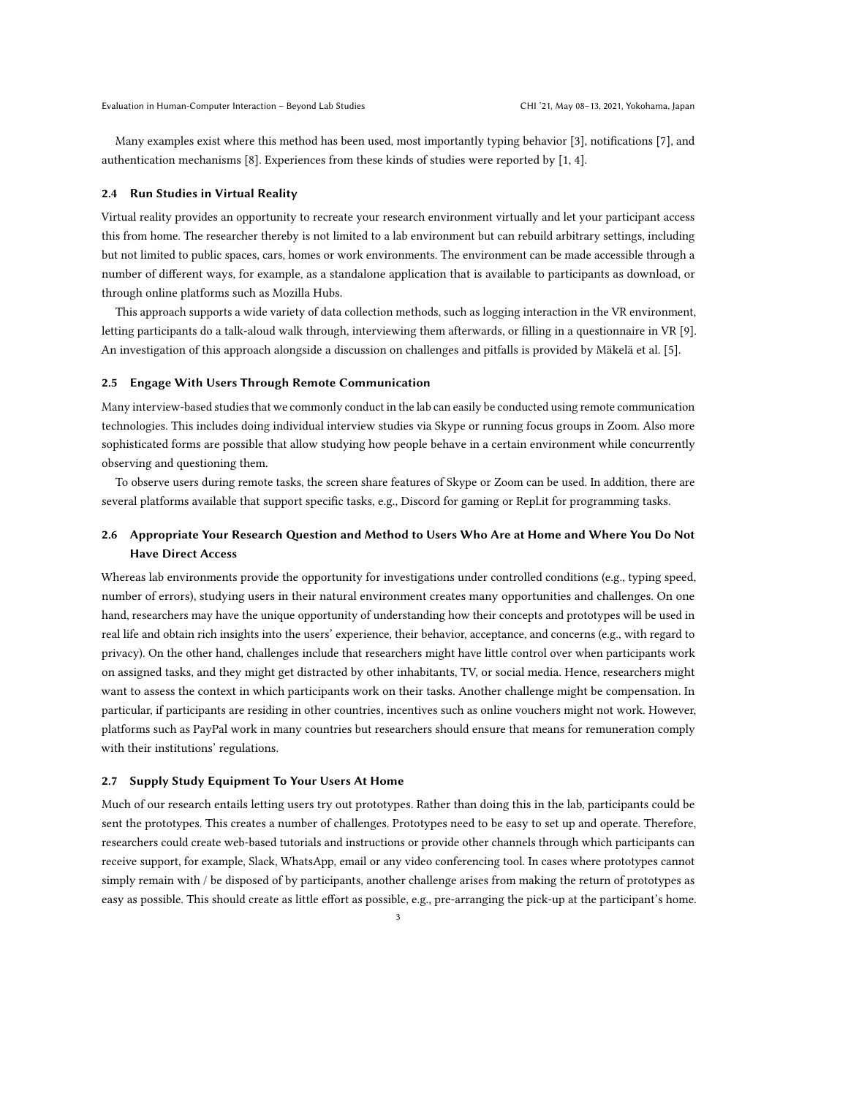Many examples exist where this method has been used, most importantly typing behavior [\[3\]](#page-4-2), notifications [\[7\]](#page-4-3), and authentication mechanisms [\[8\]](#page-4-4). Experiences from these kinds of studies were reported by [\[1,](#page-4-5) [4\]](#page-4-6).

#### 2.4 Run Studies in Virtual Reality

Virtual reality provides an opportunity to recreate your research environment virtually and let your participant access this from home. The researcher thereby is not limited to a lab environment but can rebuild arbitrary settings, including but not limited to public spaces, cars, homes or work environments. The environment can be made accessible through a number of different ways, for example, as a standalone application that is available to participants as download, or through online platforms such as Mozilla Hubs.

This approach supports a wide variety of data collection methods, such as logging interaction in the VR environment, letting participants do a talk-aloud walk through, interviewing them afterwards, or filling in a questionnaire in VR [\[9\]](#page-4-7). An investigation of this approach alongside a discussion on challenges and pitfalls is provided by Mäkelä et al. [\[5\]](#page-4-8).

#### 2.5 Engage With Users Through Remote Communication

Many interview-based studies that we commonly conduct in the lab can easily be conducted using remote communication technologies. This includes doing individual interview studies via Skype or running focus groups in Zoom. Also more sophisticated forms are possible that allow studying how people behave in a certain environment while concurrently observing and questioning them.

To observe users during remote tasks, the screen share features of Skype or Zoom can be used. In addition, there are several platforms available that support specific tasks, e.g., Discord for gaming or Repl.it for programming tasks.

# 2.6 Appropriate Your Research Question and Method to Users Who Are at Home and Where You Do Not Have Direct Access

Whereas lab environments provide the opportunity for investigations under controlled conditions (e.g., typing speed, number of errors), studying users in their natural environment creates many opportunities and challenges. On one hand, researchers may have the unique opportunity of understanding how their concepts and prototypes will be used in real life and obtain rich insights into the users' experience, their behavior, acceptance, and concerns (e.g., with regard to privacy). On the other hand, challenges include that researchers might have little control over when participants work on assigned tasks, and they might get distracted by other inhabitants, TV, or social media. Hence, researchers might want to assess the context in which participants work on their tasks. Another challenge might be compensation. In particular, if participants are residing in other countries, incentives such as online vouchers might not work. However, platforms such as PayPal work in many countries but researchers should ensure that means for remuneration comply with their institutions' regulations.

#### 2.7 Supply Study Equipment To Your Users At Home

Much of our research entails letting users try out prototypes. Rather than doing this in the lab, participants could be sent the prototypes. This creates a number of challenges. Prototypes need to be easy to set up and operate. Therefore, researchers could create web-based tutorials and instructions or provide other channels through which participants can receive support, for example, Slack, WhatsApp, email or any video conferencing tool. In cases where prototypes cannot simply remain with / be disposed of by participants, another challenge arises from making the return of prototypes as easy as possible. This should create as little effort as possible, e.g., pre-arranging the pick-up at the participant's home.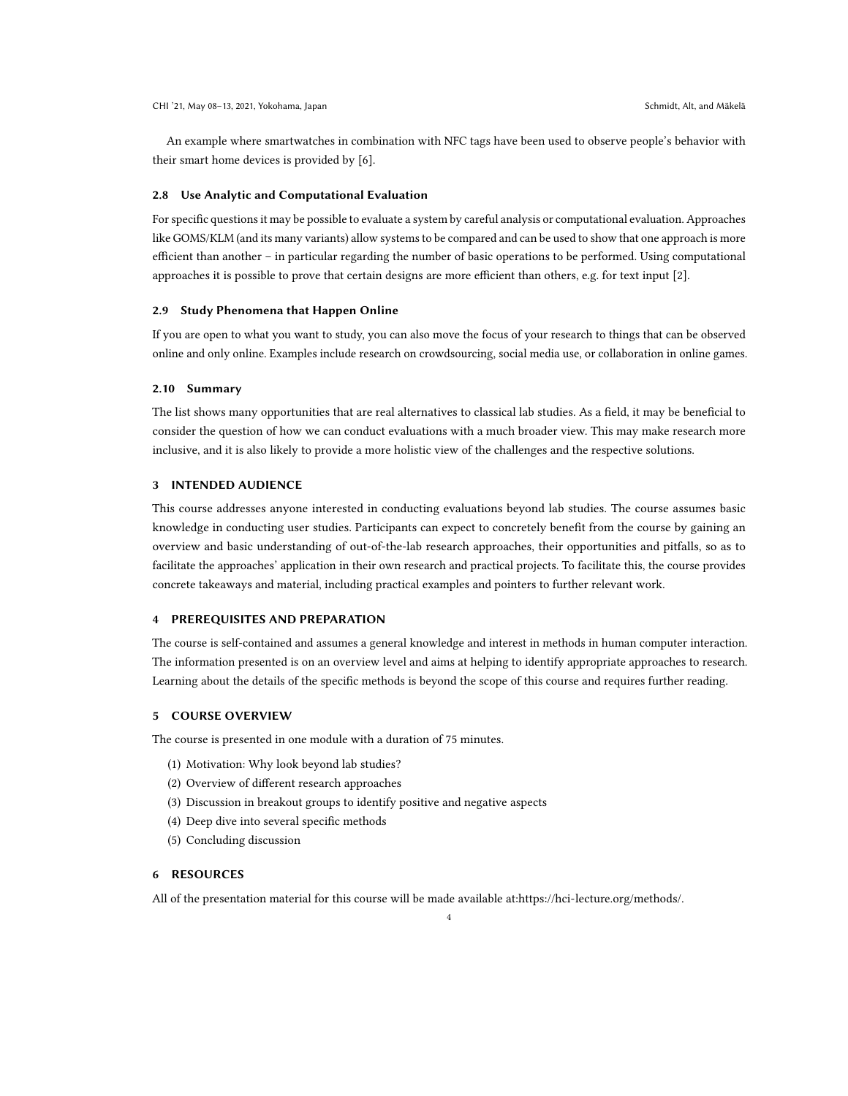An example where smartwatches in combination with NFC tags have been used to observe people's behavior with their smart home devices is provided by [\[6\]](#page-4-9).

#### 2.8 Use Analytic and Computational Evaluation

For specific questions it may be possible to evaluate a system by careful analysis or computational evaluation. Approaches like GOMS/KLM (and its many variants) allow systems to be compared and can be used to show that one approach is more efficient than another – in particular regarding the number of basic operations to be performed. Using computational approaches it is possible to prove that certain designs are more efficient than others, e.g. for text input [\[2\]](#page-4-10).

## 2.9 Study Phenomena that Happen Online

If you are open to what you want to study, you can also move the focus of your research to things that can be observed online and only online. Examples include research on crowdsourcing, social media use, or collaboration in online games.

### 2.10 Summary

The list shows many opportunities that are real alternatives to classical lab studies. As a field, it may be beneficial to consider the question of how we can conduct evaluations with a much broader view. This may make research more inclusive, and it is also likely to provide a more holistic view of the challenges and the respective solutions.

### 3 INTENDED AUDIENCE

This course addresses anyone interested in conducting evaluations beyond lab studies. The course assumes basic knowledge in conducting user studies. Participants can expect to concretely benefit from the course by gaining an overview and basic understanding of out-of-the-lab research approaches, their opportunities and pitfalls, so as to facilitate the approaches' application in their own research and practical projects. To facilitate this, the course provides concrete takeaways and material, including practical examples and pointers to further relevant work.

#### 4 PREREQUISITES AND PREPARATION

The course is self-contained and assumes a general knowledge and interest in methods in human computer interaction. The information presented is on an overview level and aims at helping to identify appropriate approaches to research. Learning about the details of the specific methods is beyond the scope of this course and requires further reading.

## 5 COURSE OVERVIEW

The course is presented in one module with a duration of 75 minutes.

- (1) Motivation: Why look beyond lab studies?
- (2) Overview of different research approaches
- (3) Discussion in breakout groups to identify positive and negative aspects
- (4) Deep dive into several specific methods
- (5) Concluding discussion

# 6 RESOURCES

All of the presentation material for this course will be made available at[:https://hci-lecture.org/methods/.](https://hci-lecture.org/methods/)